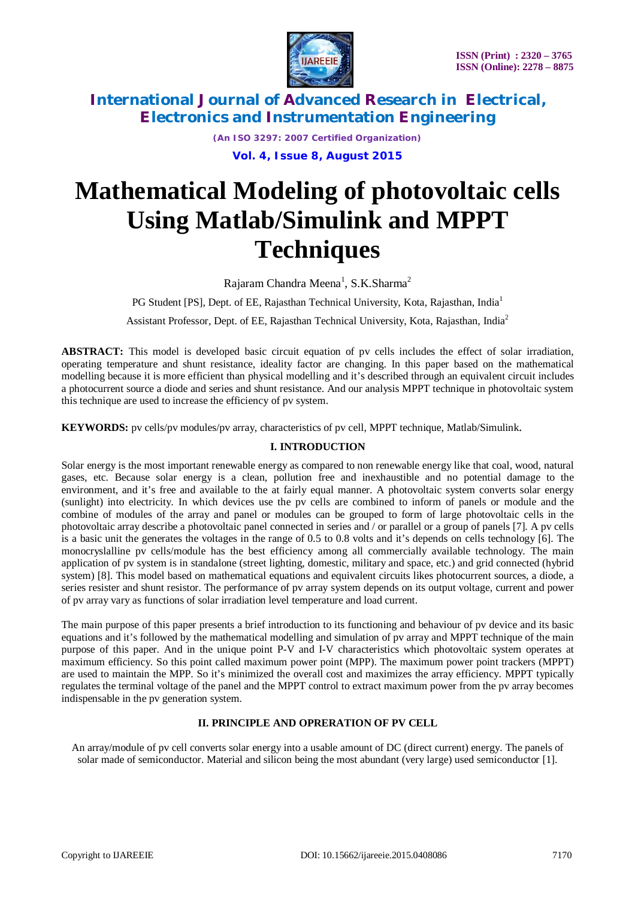

*(An ISO 3297: 2007 Certified Organization)*

**Vol. 4, Issue 8, August 2015**

# **Mathematical Modeling of photovoltaic cells Using Matlab/Simulink and MPPT Techniques**

Rajaram Chandra Meena<sup>1</sup>, S.K.Sharma<sup>2</sup>

PG Student [PS], Dept. of EE, Rajasthan Technical University, Kota, Rajasthan, India<sup>1</sup>

Assistant Professor, Dept. of EE, Rajasthan Technical University, Kota, Rajasthan, India<sup>2</sup>

**ABSTRACT:** This model is developed basic circuit equation of pv cells includes the effect of solar irradiation, operating temperature and shunt resistance, ideality factor are changing. In this paper based on the mathematical modelling because it is more efficient than physical modelling and it's described through an equivalent circuit includes a photocurrent source a diode and series and shunt resistance. And our analysis MPPT technique in photovoltaic system this technique are used to increase the efficiency of pv system.

**KEYWORDS:** pv cells/pv modules/pv array, characteristics of pv cell, MPPT technique, Matlab/Simulink.

#### **I. INTRODUCTION**

Solar energy is the most important renewable energy as compared to non renewable energy like that coal, wood, natural gases, etc. Because solar energy is a clean, pollution free and inexhaustible and no potential damage to the environment, and it's free and available to the at fairly equal manner. A photovoltaic system converts solar energy (sunlight) into electricity. In which devices use the pv cells are combined to inform of panels or module and the combine of modules of the array and panel or modules can be grouped to form of large photovoltaic cells in the photovoltaic array describe a photovoltaic panel connected in series and / or parallel or a group of panels [7]. A pv cells is a basic unit the generates the voltages in the range of 0.5 to 0.8 volts and it's depends on cells technology [6]. The monocryslalline pv cells/module has the best efficiency among all commercially available technology. The main application of pv system is in standalone (street lighting, domestic, military and space, etc.) and grid connected (hybrid system) [8]. This model based on mathematical equations and equivalent circuits likes photocurrent sources, a diode, a series resister and shunt resistor. The performance of pv array system depends on its output voltage, current and power of pv array vary as functions of solar irradiation level temperature and load current.

The main purpose of this paper presents a brief introduction to its functioning and behaviour of pv device and its basic equations and it's followed by the mathematical modelling and simulation of pv array and MPPT technique of the main purpose of this paper. And in the unique point P-V and I-V characteristics which photovoltaic system operates at maximum efficiency. So this point called maximum power point (MPP). The maximum power point trackers (MPPT) are used to maintain the MPP. So it's minimized the overall cost and maximizes the array efficiency. MPPT typically regulates the terminal voltage of the panel and the MPPT control to extract maximum power from the pv array becomes indispensable in the pv generation system.

### **II. PRINCIPLE AND OPRERATION OF PV CELL**

An array/module of pv cell converts solar energy into a usable amount of DC (direct current) energy. The panels of solar made of semiconductor. Material and silicon being the most abundant (very large) used semiconductor [1].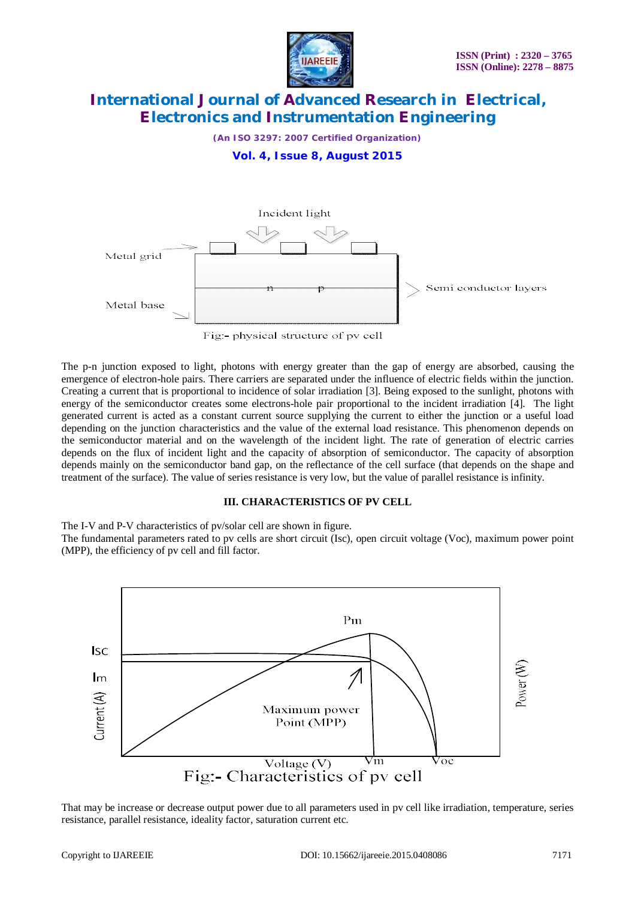

*(An ISO 3297: 2007 Certified Organization)*

**Vol. 4, Issue 8, August 2015**



The p-n junction exposed to light, photons with energy greater than the gap of energy are absorbed, causing the emergence of electron-hole pairs. There carriers are separated under the influence of electric fields within the junction. Creating a current that is proportional to incidence of solar irradiation [3]. Being exposed to the sunlight, photons with energy of the semiconductor creates some electrons-hole pair proportional to the incident irradiation [4]. The light generated current is acted as a constant current source supplying the current to either the junction or a useful load depending on the junction characteristics and the value of the external load resistance. This phenomenon depends on the semiconductor material and on the wavelength of the incident light. The rate of generation of electric carries depends on the flux of incident light and the capacity of absorption of semiconductor. The capacity of absorption depends mainly on the semiconductor band gap, on the reflectance of the cell surface (that depends on the shape and treatment of the surface). The value of series resistance is very low, but the value of parallel resistance is infinity.

#### **III. CHARACTERISTICS OF PV CELL**

The I-V and P-V characteristics of pv/solar cell are shown in figure.

The fundamental parameters rated to pv cells are short circuit (Isc), open circuit voltage (Voc), maximum power point (MPP), the efficiency of pv cell and fill factor.



That may be increase or decrease output power due to all parameters used in pv cell like irradiation, temperature, series resistance, parallel resistance, ideality factor, saturation current etc.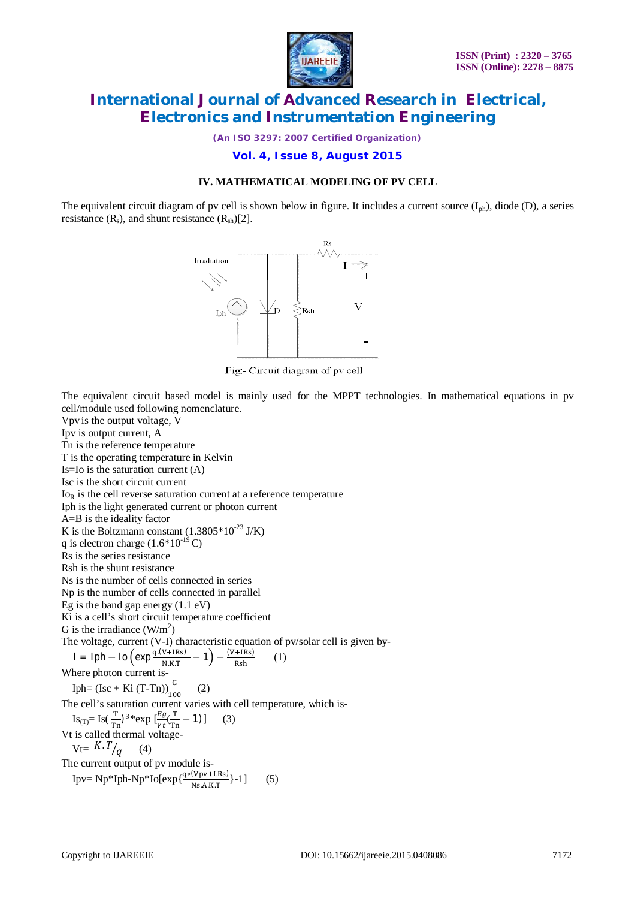

*(An ISO 3297: 2007 Certified Organization)*

**Vol. 4, Issue 8, August 2015**

#### **IV. MATHEMATICAL MODELING OF PV CELL**

The equivalent circuit diagram of pv cell is shown below in figure. It includes a current source  $(I_{ph})$ , diode (D), a series resistance  $(R_s)$ , and shunt resistance  $(R_{sb})[2]$ .



Fig. - Circuit diagram of pv cell

The equivalent circuit based model is mainly used for the MPPT technologies. In mathematical equations in pv cell/module used following nomenclature.

Vpv is the output voltage, V Ipv is output current, A Tn is the reference temperature T is the operating temperature in Kelvin  $Is = Io$  is the saturation current  $(A)$ Isc is the short circuit current  $I_{\text{O}_R}$  is the cell reverse saturation current at a reference temperature Iph is the light generated current or photon current  $A = B$  is the ideality factor K is the Boltzmann constant  $(1.3805 * 10^{-23}$  J/K) q is electron charge  $(1.6*10^{-19}C)$ Rs is the series resistance Rsh is the shunt resistance Ns is the number of cells connected in series Np is the number of cells connected in parallel Eg is the band gap energy (1.1 eV) Ki is a cell's short circuit temperature coefficient G is the irradiance  $(W/m^2)$ The voltage, current (V-I) characteristic equation of pv/solar cell is given by- $I = Iph - Io \left( exp \frac{q.(V + IRs)}{N I K T} \right)$  $\frac{V+IRs)}{N.K.T}$  – 1) –  $\frac{(V+IRs)}{Rsh}$  $\frac{1}{\text{Rsh}}$  (1) Where photon current is-Iph= (Isc + Ki (T-Tn)) $\frac{G}{100}$  (2) The cell's saturation current varies with cell temperature, which is- Is<sub>(T)</sub>= Is( $\frac{T}{Tn}$ )<sup>3</sup>\*exp [ $\frac{Eg}{Vt}$ ( $\frac{T}{Tn}$  $\frac{1}{\text{Tr}}$  - 1)] (3) Vt is called thermal voltage- $Vt = K.T/q$  (4) The current output of pv module is- Ipv= Np\*Iph-Np\*Io[ $\exp{\frac{q*(Vpv+IRs)}{Ns.A.K.T}}$ }-1] (5)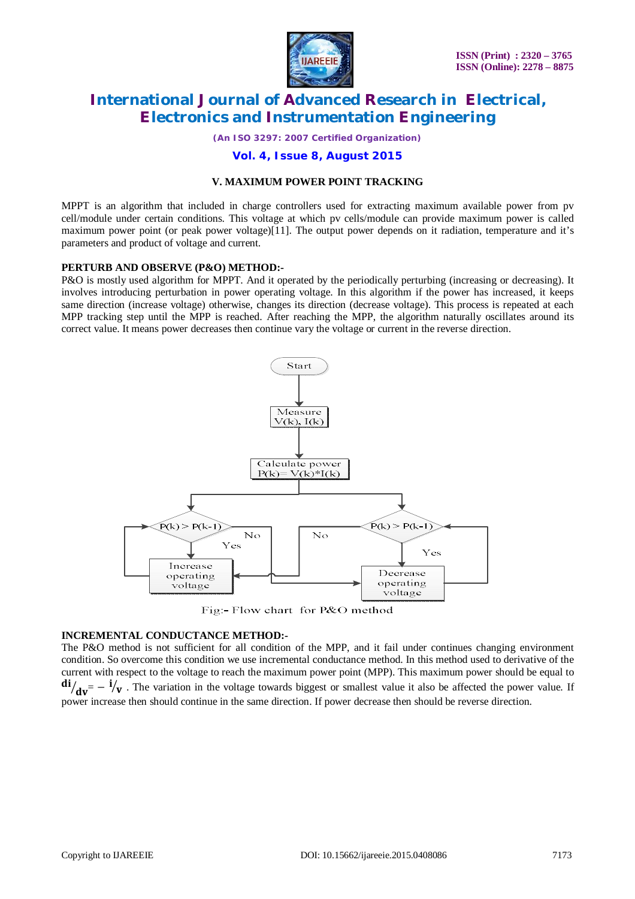

*(An ISO 3297: 2007 Certified Organization)*

#### **Vol. 4, Issue 8, August 2015**

#### **V. MAXIMUM POWER POINT TRACKING**

MPPT is an algorithm that included in charge controllers used for extracting maximum available power from pv cell/module under certain conditions. This voltage at which pv cells/module can provide maximum power is called maximum power point (or peak power voltage)[11]. The output power depends on it radiation, temperature and it's parameters and product of voltage and current.

#### **PERTURB AND OBSERVE (P&O) METHOD:-**

P&O is mostly used algorithm for MPPT. And it operated by the periodically perturbing (increasing or decreasing). It involves introducing perturbation in power operating voltage. In this algorithm if the power has increased, it keeps same direction (increase voltage) otherwise, changes its direction (decrease voltage). This process is repeated at each MPP tracking step until the MPP is reached. After reaching the MPP, the algorithm naturally oscillates around its correct value. It means power decreases then continue vary the voltage or current in the reverse direction.



Fig:- Flow chart for P&O method

#### **INCREMENTAL CONDUCTANCE METHOD:-**

The P&O method is not sufficient for all condition of the MPP, and it fail under continues changing environment condition. So overcome this condition we use incremental conductance method. In this method used to derivative of the current with respect to the voltage to reach the maximum power point (MPP). This maximum power should be equal to  ${di}/{dv} = -i/v$ . The variation in the voltage towards biggest or smallest value it also be affected the power value. If power increase then should continue in the same direction. If power decrease then should be reverse direction.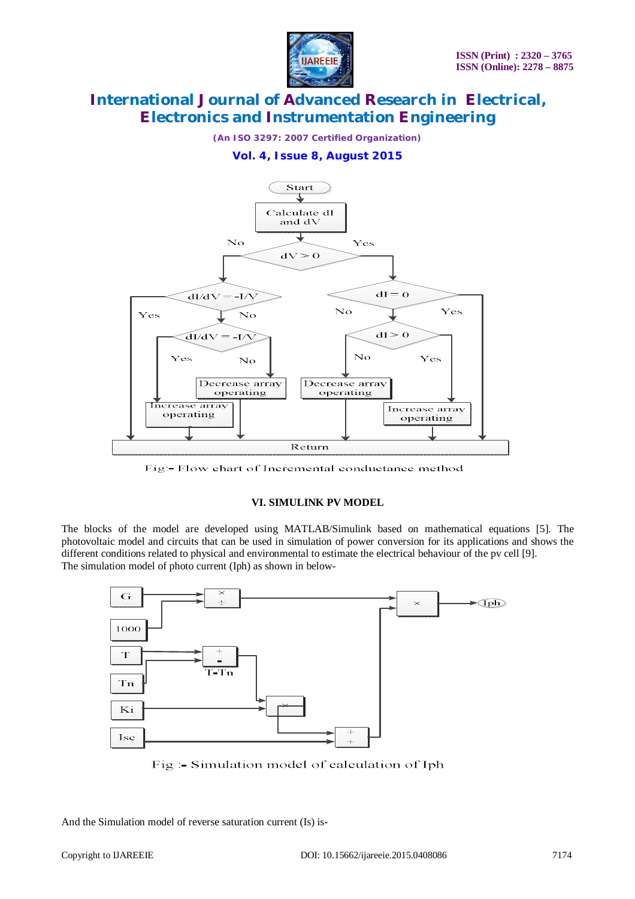

*(An ISO 3297: 2007 Certified Organization)*

### **Vol. 4, Issue 8, August 2015**



Fig.- Flow chart of Incremental conductance method

#### **VI. SIMULINK PV MODEL**

The blocks of the model are developed using MATLAB/Simulink based on mathematical equations [5]. The photovoltaic model and circuits that can be used in simulation of power conversion for its applications and shows the different conditions related to physical and environmental to estimate the electrical behaviour of the pv cell [9]. The simulation model of photo current (Iph) as shown in below-



Fig :- Simulation model of calculation of Iph

And the Simulation model of reverse saturation current (Is) is-